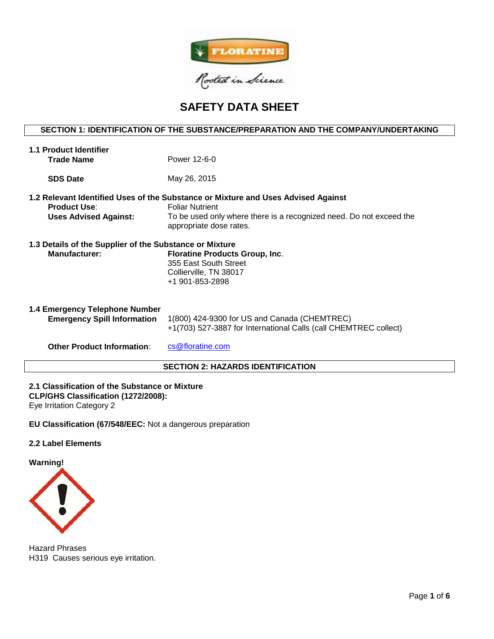

# **SAFETY DATA SHEET**

# **SECTION 1: IDENTIFICATION OF THE SUBSTANCE/PREPARATION AND THE COMPANY/UNDERTAKING**

| 1.1 Product Identifier<br><b>Trade Name</b>                                     | Power 12-6-0                                                                                                                                                                                                  |
|---------------------------------------------------------------------------------|---------------------------------------------------------------------------------------------------------------------------------------------------------------------------------------------------------------|
| <b>SDS Date</b>                                                                 | May 26, 2015                                                                                                                                                                                                  |
| <b>Product Use:</b><br><b>Uses Advised Against:</b>                             | 1.2 Relevant Identified Uses of the Substance or Mixture and Uses Advised Against<br><b>Foliar Nutrient</b><br>To be used only where there is a recognized need. Do not exceed the<br>appropriate dose rates. |
| 1.3 Details of the Supplier of the Substance or Mixture<br><b>Manufacturer:</b> | <b>Floratine Products Group, Inc.</b><br>355 East South Street<br>Collierville, TN 38017<br>+1 901-853-2898                                                                                                   |
| 1.4 Emergency Telephone Number<br><b>Emergency Spill Information</b>            | 1(800) 424-9300 for US and Canada (CHEMTREC)<br>+1(703) 527-3887 for International Calls (call CHEMTREC collect)                                                                                              |
| <b>Other Product Information:</b>                                               | cs@floratine.com                                                                                                                                                                                              |

# **SECTION 2: HAZARDS IDENTIFICATION**

**2.1 Classification of the Substance or Mixture CLP/GHS Classification (1272/2008):** 

Eye Irritation Category 2

**EU Classification (67/548/EEC:** Not a dangerous preparation

## **2.2 Label Elements**

**Warning!**



Hazard Phrases H319 Causes serious eye irritation.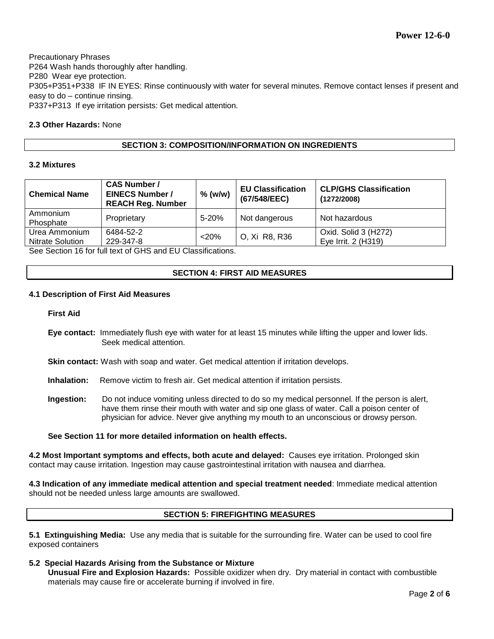Precautionary Phrases P264 Wash hands thoroughly after handling. P280 Wear eye protection. P305+P351+P338 IF IN EYES: Rinse continuously with water for several minutes. Remove contact lenses if present and easy to do – continue rinsing. P337+P313 If eye irritation persists: Get medical attention.

# **2.3 Other Hazards:** None

## **SECTION 3: COMPOSITION/INFORMATION ON INGREDIENTS**

## **3.2 Mixtures**

| <b>Chemical Name</b>                     | <b>CAS Number /</b><br><b>EINECS Number /</b><br><b>REACH Reg. Number</b> | $%$ (w/w) | <b>EU Classification</b><br>(67/548/EEC) | <b>CLP/GHS Classification</b><br>(1272/2008) |
|------------------------------------------|---------------------------------------------------------------------------|-----------|------------------------------------------|----------------------------------------------|
| Ammonium<br>Phosphate                    | Proprietary                                                               | $5 - 20%$ | Not dangerous                            | Not hazardous                                |
| Urea Ammonium<br><b>Nitrate Solution</b> | 6484-52-2<br>229-347-8                                                    | $<$ 20%   | O, Xi R8, R36                            | Oxid. Solid 3 (H272)<br>Eye Irrit. 2 (H319)  |

See Section 16 for full text of GHS and EU Classifications.

# **SECTION 4: FIRST AID MEASURES**

#### **4.1 Description of First Aid Measures**

#### **First Aid**

- **Eye contact:** Immediately flush eye with water for at least 15 minutes while lifting the upper and lower lids. Seek medical attention.
- **Skin contact:** Wash with soap and water. Get medical attention if irritation develops.
- **Inhalation:** Remove victim to fresh air. Get medical attention if irritation persists.
- **Ingestion:** Do not induce vomiting unless directed to do so my medical personnel. If the person is alert, have them rinse their mouth with water and sip one glass of water. Call a poison center of physician for advice. Never give anything my mouth to an unconscious or drowsy person.

#### **See Section 11 for more detailed information on health effects.**

**4.2 Most Important symptoms and effects, both acute and delayed:** Causes eye irritation. Prolonged skin contact may cause irritation. Ingestion may cause gastrointestinal irritation with nausea and diarrhea.

**4.3 Indication of any immediate medical attention and special treatment needed**: Immediate medical attention should not be needed unless large amounts are swallowed.

# **SECTION 5: FIREFIGHTING MEASURES**

**5.1 Extinguishing Media:** Use any media that is suitable for the surrounding fire. Water can be used to cool fire exposed containers

#### **5.2 Special Hazards Arising from the Substance or Mixture**

**Unusual Fire and Explosion Hazards:** Possible oxidizer when dry. Dry material in contact with combustible materials may cause fire or accelerate burning if involved in fire.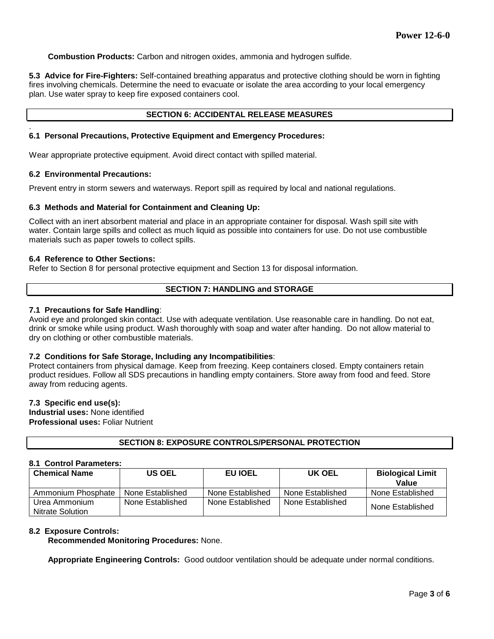**Combustion Products:** Carbon and nitrogen oxides, ammonia and hydrogen sulfide.

**5.3 Advice for Fire-Fighters:** Self-contained breathing apparatus and protective clothing should be worn in fighting fires involving chemicals. Determine the need to evacuate or isolate the area according to your local emergency plan. Use water spray to keep fire exposed containers cool.

#### **SECTION 6: ACCIDENTAL RELEASE MEASURES**

#### . **6.1 Personal Precautions, Protective Equipment and Emergency Procedures:**

Wear appropriate protective equipment. Avoid direct contact with spilled material.

#### **6.2 Environmental Precautions:**

Prevent entry in storm sewers and waterways. Report spill as required by local and national regulations.

#### **6.3 Methods and Material for Containment and Cleaning Up:**

Collect with an inert absorbent material and place in an appropriate container for disposal. Wash spill site with water. Contain large spills and collect as much liquid as possible into containers for use. Do not use combustible materials such as paper towels to collect spills.

#### **6.4 Reference to Other Sections:**

Refer to Section 8 for personal protective equipment and Section 13 for disposal information.

## **SECTION 7: HANDLING and STORAGE**

#### **7.1 Precautions for Safe Handling**:

Avoid eye and prolonged skin contact. Use with adequate ventilation. Use reasonable care in handling. Do not eat, drink or smoke while using product. Wash thoroughly with soap and water after handing. Do not allow material to dry on clothing or other combustible materials.

## **7.2 Conditions for Safe Storage, Including any Incompatibilities**:

Protect containers from physical damage. Keep from freezing. Keep containers closed. Empty containers retain product residues. Follow all SDS precautions in handling empty containers. Store away from food and feed. Store away from reducing agents.

#### **7.3 Specific end use(s):**

**Industrial uses:** None identified **Professional uses:** Foliar Nutrient

## **SECTION 8: EXPOSURE CONTROLS/PERSONAL PROTECTION**

#### **8.1 Control Parameters:**

| <b>Chemical Name</b>              | US OEL           | EU IOEL          | UK OEL           | <b>Biological Limit</b><br>Value |
|-----------------------------------|------------------|------------------|------------------|----------------------------------|
| Ammonium Phosphate                | None Established | None Established | None Established | None Established                 |
| Urea Ammonium<br>Nitrate Solution | None Established | None Established | None Established | None Established                 |

## **8.2 Exposure Controls:**

**Recommended Monitoring Procedures:** None.

**Appropriate Engineering Controls:** Good outdoor ventilation should be adequate under normal conditions.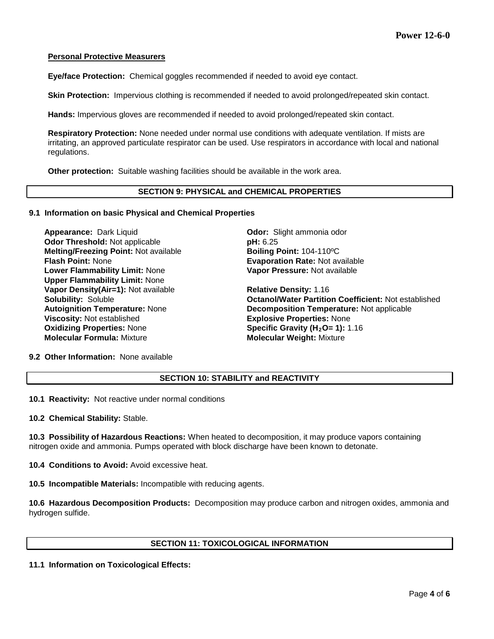## **Personal Protective Measurers**

**Eye/face Protection:** Chemical goggles recommended if needed to avoid eye contact.

**Skin Protection:** Impervious clothing is recommended if needed to avoid prolonged/repeated skin contact.

**Hands:** Impervious gloves are recommended if needed to avoid prolonged/repeated skin contact.

**Respiratory Protection:** None needed under normal use conditions with adequate ventilation. If mists are irritating, an approved particulate respirator can be used. Use respirators in accordance with local and national regulations.

**Other protection:** Suitable washing facilities should be available in the work area.

#### **SECTION 9: PHYSICAL and CHEMICAL PROPERTIES**

#### **9.1 Information on basic Physical and Chemical Properties**

**Appearance:** Dark Liquid **Odor:** Slight ammonia odor **Odor Threshold:** Not applicable **pH:** 6.25 **Melting/Freezing Point:** Not available **Boiling Point:** 104-110ºC **Flash Point:** None **Evaporation Rate:** Not available **Lower Flammability Limit:** None **Upper Flammability Limit:** None **Vapor Density(Air=1):** Not available **Relative Density:** 1.16 **Viscosity:** Not established **Explosive Properties:** None **Oxidizing Properties:** None **Specific Gravity (H<sub>2</sub>O= 1):** 1.16<br> **Molecular Formula:** Mixture **State of Molecular Weight:** Mixture

**Vapor Pressure:** Not available

**Solubility:** Soluble **Octanol/Water Partition Coefficient:** Not established **Autoignition Temperature:** None **Decomposition Temperature:** Not applicable **Molecular Weight: Mixture** 

**9.2 Other Information:** None available

# **SECTION 10: STABILITY and REACTIVITY**

**10.1 Reactivity:** Not reactive under normal conditions

**10.2 Chemical Stability:** Stable.

**10.3 Possibility of Hazardous Reactions:** When heated to decomposition, it may produce vapors containing nitrogen oxide and ammonia. Pumps operated with block discharge have been known to detonate.

**10.4 Conditions to Avoid:** Avoid excessive heat.

**10.5 Incompatible Materials:** Incompatible with reducing agents.

**10.6 Hazardous Decomposition Products:** Decomposition may produce carbon and nitrogen oxides, ammonia and hydrogen sulfide.

## **SECTION 11: TOXICOLOGICAL INFORMATION**

**11.1 Information on Toxicological Effects:**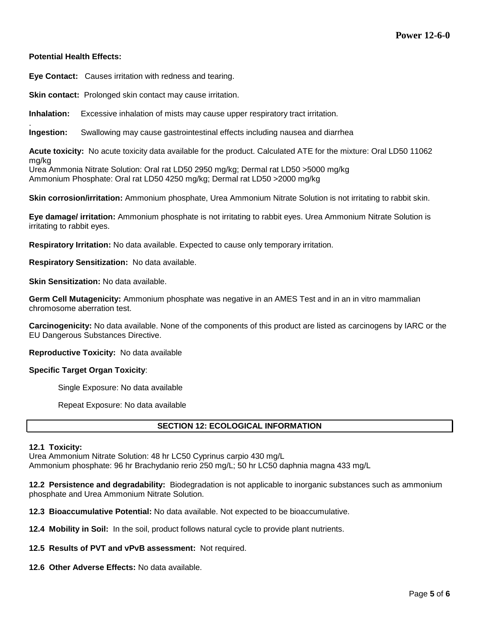## **Potential Health Effects:**

**Eye Contact:** Causes irritation with redness and tearing.

**Skin contact:** Prolonged skin contact may cause irritation.

**Inhalation:** Excessive inhalation of mists may cause upper respiratory tract irritation.

. **Ingestion:** Swallowing may cause gastrointestinal effects including nausea and diarrhea

**Acute toxicity:** No acute toxicity data available for the product. Calculated ATE for the mixture: Oral LD50 11062 mg/kg

Urea Ammonia Nitrate Solution: Oral rat LD50 2950 mg/kg; Dermal rat LD50 >5000 mg/kg Ammonium Phosphate: Oral rat LD50 4250 mg/kg; Dermal rat LD50 >2000 mg/kg

**Skin corrosion/irritation:** Ammonium phosphate, Urea Ammonium Nitrate Solution is not irritating to rabbit skin.

**Eye damage/ irritation:** Ammonium phosphate is not irritating to rabbit eyes. Urea Ammonium Nitrate Solution is irritating to rabbit eyes.

**Respiratory Irritation:** No data available. Expected to cause only temporary irritation.

**Respiratory Sensitization:** No data available.

**Skin Sensitization:** No data available.

**Germ Cell Mutagenicity:** Ammonium phosphate was negative in an AMES Test and in an in vitro mammalian chromosome aberration test.

**Carcinogenicity:** No data available. None of the components of this product are listed as carcinogens by IARC or the EU Dangerous Substances Directive.

**Reproductive Toxicity:** No data available

#### **Specific Target Organ Toxicity**:

Single Exposure: No data available

Repeat Exposure: No data available

# **SECTION 12: ECOLOGICAL INFORMATION**

#### **12.1 Toxicity:**

Urea Ammonium Nitrate Solution: 48 hr LC50 Cyprinus carpio 430 mg/L Ammonium phosphate: 96 hr Brachydanio rerio 250 mg/L; 50 hr LC50 daphnia magna 433 mg/L

**12.2 Persistence and degradability:** Biodegradation is not applicable to inorganic substances such as ammonium phosphate and Urea Ammonium Nitrate Solution.

**12.3 Bioaccumulative Potential:** No data available. Not expected to be bioaccumulative.

- **12.4 Mobility in Soil:** In the soil, product follows natural cycle to provide plant nutrients.
- **12.5 Results of PVT and vPvB assessment:** Not required.
- **12.6 Other Adverse Effects:** No data available.